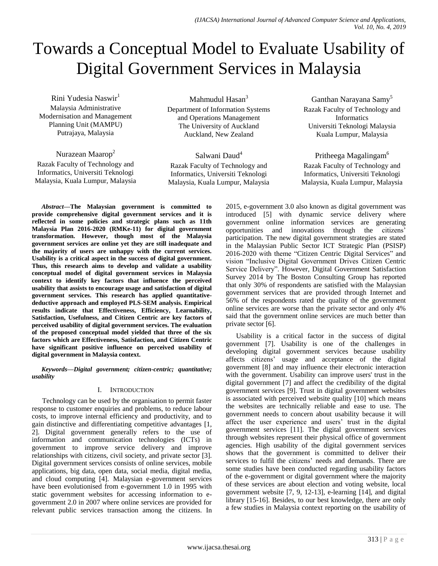# Towards a Conceptual Model to Evaluate Usability of Digital Government Services in Malaysia

Rini Yudesia Naswir<sup>1</sup> Malaysia Administrative Modernisation and Management Planning Unit (MAMPU) Putrajaya, Malaysia

Nurazean Maarop<sup>2</sup> Razak Faculty of Technology and

Informatics, Universiti Teknologi Malaysia, Kuala Lumpur, Malaysia

Mahmudul Hasan<sup>3</sup> Department of Information Systems and Operations Management The University of Auckland Auckland, New Zealand

Salwani Daud<sup>4</sup> Razak Faculty of Technology and Informatics, Universiti Teknologi Malaysia, Kuala Lumpur, Malaysia

Ganthan Narayana Samy<sup>5</sup> Razak Faculty of Technology and Informatics Universiti Teknologi Malaysia Kuala Lumpur, Malaysia

Pritheega Magalingam<sup>6</sup> Razak Faculty of Technology and Informatics, Universiti Teknologi Malaysia, Kuala Lumpur, Malaysia

*Abstract***—The Malaysian government is committed to provide comprehensive digital government services and it is reflected in some policies and strategic plans such as 11th Malaysia Plan 2016-2020 (RMKe-11) for digital government transformation. However, though most of the Malaysia government services are online yet they are still inadequate and the majority of users are unhappy with the current services. Usability is a critical aspect in the success of digital government. Thus, this research aims to develop and validate a usability conceptual model of digital government services in Malaysia context to identify key factors that influence the perceived usability that assists to encourage usage and satisfaction of digital government services. This research has applied quantitativedeductive approach and employed PLS-SEM analysis. Empirical results indicate that Effectiveness, Efficiency, Learnability, Satisfaction, Usefulness, and Citizen Centric are key factors of perceived usability of digital government services. The evaluation of the proposed conceptual model yielded that three of the six factors which are Effectiveness, Satisfaction, and Citizen Centric have significant positive influence on perceived usability of digital government in Malaysia context.**

*Keywords—Digital government; citizen-centric; quantitative; usability*

# I. INTRODUCTION

Technology can be used by the organisation to permit faster response to customer enquiries and problems, to reduce labour costs, to improve internal efficiency and productivity, and to gain distinctive and differentiating competitive advantages [1, 2]. Digital government generally refers to the use of information and communication technologies (ICTs) in government to improve service delivery and improve relationships with citizens, civil society, and private sector [3]. Digital government services consists of online services, mobile applications, big data, open data, social media, digital media, and cloud computing [4]. Malaysian e-government services have been evolutionised from e-government 1.0 in 1995 with static government websites for accessing information to egovernment 2.0 in 2007 where online services are provided for relevant public services transaction among the citizens. In 2015, e-government 3.0 also known as digital government was introduced [5] with dynamic service delivery where government online information services are generating opportunities and innovations through the citizens' participation. The new digital government strategies are stated in the Malaysian Public Sector ICT Strategic Plan (PSISP) 2016-2020 with theme "Citizen Centric Digital Services" and vision "Inclusive Digital Government Drives Citizen Centric Service Delivery". However, Digital Government Satisfaction Survey 2014 by The Boston Consulting Group has reported that only 30% of respondents are satisfied with the Malaysian government services that are provided through Internet and 56% of the respondents rated the quality of the government online services are worse than the private sector and only 4% said that the government online services are much better than private sector [6].

Usability is a critical factor in the success of digital government [7]. Usability is one of the challenges in developing digital government services because usability affects citizens' usage and acceptance of the digital government [8] and may influence their electronic interaction with the government. Usability can improve users' trust in the digital government [7] and affect the credibility of the digital government services [9]. Trust in digital government websites is associated with perceived website quality [10] which means the websites are technically reliable and ease to use. The government needs to concern about usability because it will affect the user experience and users' trust in the digital government services [11]. The digital government services through websites represent their physical office of government agencies. High usability of the digital government services shows that the government is committed to deliver their services to fulfil the citizens' needs and demands. There are some studies have been conducted regarding usability factors of the e-government or digital government where the majority of these services are about election and voting website, local government website [7, 9, 12-13], e-learning [14], and digital library [15-16]. Besides, to our best knowledge, there are only a few studies in Malaysia context reporting on the usability of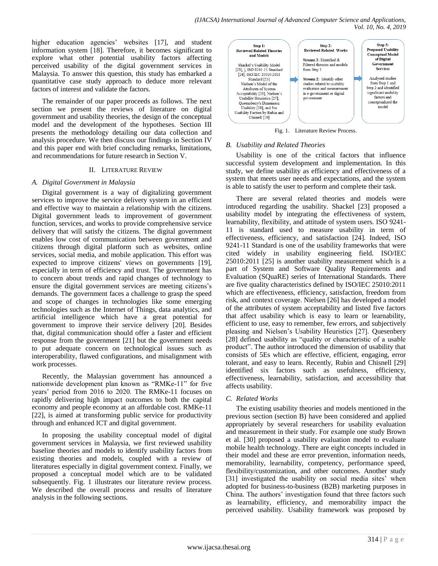higher education agencies' websites [17], and student information system [18]. Therefore, it becomes significant to explore what other potential usability factors affecting perceived usability of the digital government services in Malaysia. To answer this question, this study has embarked a quantitative case study approach to deduce more relevant factors of interest and validate the factors.

The remainder of our paper proceeds as follows. The next section we present the reviews of literature on digital government and usability theories, the design of the conceptual model and the development of the hypotheses. Section III presents the methodology detailing our data collection and analysis procedure. We then discuss our findings in Section IV and this paper end with brief concluding remarks, limitations, and recommendations for future research in Section V.

## II. LITERATURE REVIEW

## *A. Digital Government in Malaysia*

Digital government is a way of digitalizing government services to improve the service delivery system in an efficient and effective way to maintain a relationship with the citizens. Digital government leads to improvement of government function, services, and works to provide comprehensive service delivery that will satisfy the citizens. The digital government enables low cost of communication between government and citizens through digital platform such as websites, online services, social media, and mobile application. This effort was expected to improve citizens' views on governments [19], especially in term of efficiency and trust. The government has to concern about trends and rapid changes of technology to ensure the digital government services are meeting citizens's demands. The government faces a challenge to grasp the speed and scope of changes in technologies like some emerging technologies such as the Internet of Things, data analytics, and artificial intelligence which have a great potential for government to improve their service delivery [20]. Besides that, digital communication should offer a faster and efficient response from the government [21] but the government needs to put adequate concern on technological issues such as interoperability, flawed configurations, and misalignment with work processes.

Recently, the Malaysian government has announced a nationwide development plan known as "RMKe-11" for five years' period from 2016 to 2020. The RMKe-11 focuses on rapidly delivering high impact outcomes to both the capital economy and people economy at an affordable cost. RMKe-11 [22], is aimed at transforming public service for productivity through and enhanced ICT and digital government.

In proposing the usability conceptual model of digital government services in Malaysia, we first reviewed usability baseline theories and models to identify usability factors from existing theories and models, coupled with a review of literatures especially in digital government context. Finally, we proposed a conceptual model which are to be validated subsequently. Fig. 1 illustrates our literature review process. We described the overall process and results of literature analysis in the following sections.



Fig. 1. Literature Review Process.

## *B. Usability and Related Theories*

Usability is one of the critical factors that influence successful system development and implementation. In this study, we define usability as efficiency and effectiveness of a system that meets user needs and expectations, and the system is able to satisfy the user to perform and complete their task.

There are several related theories and models were introduced regarding the usability. Shackel [23] proposed a usability model by integrating the effectiveness of system, learnability, flexibility, and attitude of system users. ISO 9241- 11 is standard used to measure usability in term of effectiveness, efficiency, and satisfaction [24]. Indeed, ISO 9241-11 Standard is one of the usability frameworks that were cited widely in usability engineering field. ISO/IEC 25010:2011 [25] is another usability measurement which is a part of System and Software Quality Requirements and Evaluation (SQuaRE) series of International Standards. There are five quality characteristics defined by ISO/IEC 25010:2011 which are effectiveness, efficiency, satisfaction, freedom from risk, and context coverage. Nielsen [26] has developed a model of the attributes of system acceptability and listed five factors that affect usability which is easy to learn or learnability, efficient to use, easy to remember, few errors, and subjectively pleasing and Nielsen's Usability Heuristics [27]. Quesenbery [28] defined usability as "quality or characteristic of a usable product". The author introduced the dimension of usability that consists of 5Es which are effective, efficient, engaging, error tolerant, and easy to learn. Recently, Rubin and Chisnell [29] identified six factors such as usefulness, efficiency, effectiveness, learnability, satisfaction, and accessibility that affects usability.

# *C. Related Works*

The existing usability theories and models mentioned in the previous section (section B) have been considered and applied appropriately by several researchers for usability evaluation and measurement in their study. For example one study Brown et al. [30] proposed a usability evaluation model to evaluate mobile health technology. There are eight concepts included in their model and these are error prevention, information needs, memorability, learnability, competency, performance speed, flexibility/customization, and other outcomes. Another study [31] investigated the usability on social media sites' when adopted for business-to-business (B2B) marketing purposes in China. The authors' investigation found that three factors such as learnability, efficiency, and memorability impact the perceived usability. Usability framework was proposed by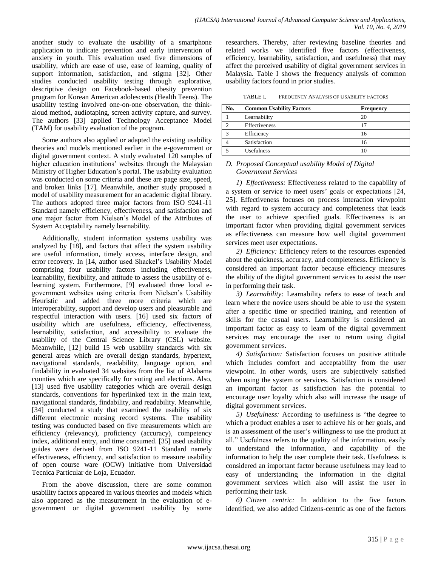another study to evaluate the usability of a smartphone application to indicate prevention and early intervention of anxiety in youth. This evaluation used five dimensions of usability, which are ease of use, ease of learning, quality of support information, satisfaction, and stigma [32]. Other studies conducted usability testing through explorative, descriptive design on Facebook-based obesity prevention program for Korean American adolescents (Health Teens). The usability testing involved one-on-one observation, the thinkaloud method, audiotaping, screen activity capture, and survey. The authors [33] applied Technology Acceptance Model (TAM) for usability evaluation of the program.

Some authors also applied or adapted the existing usability theories and models mentioned earlier in the e-government or digital government context. A study evaluated 120 samples of higher education institutions' websites through the Malaysian Ministry of Higher Education's portal. The usability evaluation was conducted on some criteria and these are page size, speed, and broken links [17]. Meanwhile, another study proposed a model of usability measurement for an academic digital library. The authors adopted three major factors from ISO 9241-11 Standard namely efficiency, effectiveness, and satisfaction and one major factor from Nielsen's Model of the Attributes of System Acceptability namely learnability.

Additionally, student information systems usability was analyzed by [18], and factors that affect the system usability are useful information, timely access, interface design, and error recovery. In [14, author used Shackel's Usability Model comprising four usability factors including effectiveness, learnability, flexibility, and attitude to assess the usability of elearning system. Furthermore, [9] evaluated three local egovernment websites using criteria from Nielsen's Usability Heuristic and added three more criteria which are interoperability, support and develop users and pleasurable and respectful interaction with users. [16] used six factors of usability which are usefulness, efficiency, effectiveness, learnability, satisfaction, and accessibility to evaluate the usability of the Central Science Library (CSL) website. Meanwhile, [12] build 15 web usability standards with six general areas which are overall design standards, hypertext, navigational standards, readability, language option, and findability in evaluated 34 websites from the list of Alabama counties which are specifically for voting and elections. Also, [13] used five usability categories which are overall design standards, conventions for hyperlinked text in the main text, navigational standards, findability, and readability. Meanwhile, [34] conducted a study that examined the usability of six different electronic nursing record systems. The usability testing was conducted based on five measurements which are efficiency (relevancy), proficiency (accuracy), competency index, additional entry, and time consumed. [35] used usability guides were derived from ISO 9241-11 Standard namely effectiveness, efficiency, and satisfaction to measure usability of open course ware (OCW) initiative from Universidad Tecnica Particular de Loja, Ecuador.

From the above discussion, there are some common usability factors appeared in various theories and models which also appeared as the measurement in the evaluation of egovernment or digital government usability by some researchers. Thereby, after reviewing baseline theories and related works we identified five factors (effectiveness, efficiency, learnability, satisfaction, and usefulness) that may affect the perceived usability of digital government services in Malaysia. Table I shows the frequency analysis of common usability factors found in prior studies.

| TABLE I. | FREQUENCY ANALYSIS OF USABILITY FACTORS |
|----------|-----------------------------------------|
|----------|-----------------------------------------|

| No. | <b>Common Usability Factors</b> | <b>Frequency</b> |
|-----|---------------------------------|------------------|
|     | Learnability                    | 20               |
|     | Effectiveness                   | 17               |
|     | Efficiency                      | 16               |
|     | Satisfaction                    | 16               |
|     | Usefulness                      |                  |

#### *D. Proposed Conceptual usability Model of Digital Government Services*

*1) Effectiveness:* Effectiveness related to the capability of a system or service to meet users' goals or expectations [24, 25]. Effectiveness focuses on process interaction viewpoint with regard to system accuracy and completeness that leads the user to achieve specified goals. Effectiveness is an important factor when providing digital government services as effectiveness can measure how well digital government services meet user expectations.

*2) Efficiency:* Efficiency refers to the resources expended about the quickness, accuracy, and completeness. Efficiency is considered an important factor because efficiency measures the ability of the digital government services to assist the user in performing their task.

*3) Learnability:* Learnability refers to ease of teach and learn where the novice users should be able to use the system after a specific time or specified training, and retention of skills for the casual users. Learnability is considered an important factor as easy to learn of the digital government services may encourage the user to return using digital government services.

*4) Satisfaction:* Satisfaction focuses on positive attitude which includes comfort and acceptability from the user viewpoint. In other words, users are subjectively satisfied when using the system or services. Satisfaction is considered an important factor as satisfaction has the potential to encourage user loyalty which also will increase the usage of digital government services.

*5) Usefulness:* According to usefulness is "the degree to which a product enables a user to achieve his or her goals, and is an assessment of the user's willingness to use the product at all." Usefulness refers to the quality of the information, easily to understand the information, and capability of the information to help the user complete their task. Usefulness is considered an important factor because usefulness may lead to easy of understanding the information in the digital government services which also will assist the user in performing their task.

*6) Citizen centric:* In addition to the five factors identified, we also added Citizens-centric as one of the factors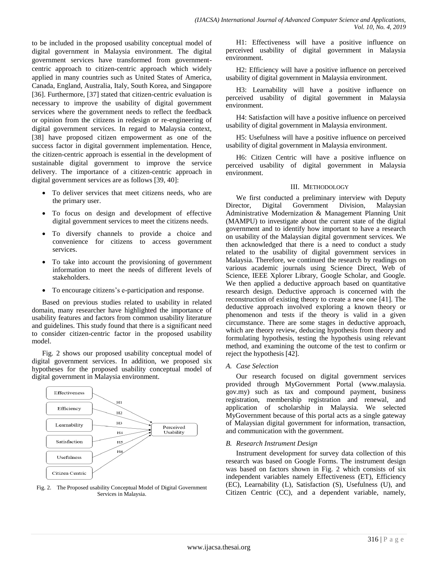to be included in the proposed usability conceptual model of digital government in Malaysia environment. The digital government services have transformed from governmentcentric approach to citizen-centric approach which widely applied in many countries such as United States of America, Canada, England, Australia, Italy, South Korea, and Singapore [36]. Furthermore, [37] stated that citizen-centric evaluation is necessary to improve the usability of digital government services where the government needs to reflect the feedback or opinion from the citizens in redesign or re-engineering of digital government services. In regard to Malaysia context, [38] have proposed citizen empowerment as one of the success factor in digital government implementation. Hence, the citizen-centric approach is essential in the development of sustainable digital government to improve the service delivery. The importance of a citizen-centric approach in digital government services are as follows [39, 40]:

- To deliver services that meet citizens needs, who are the primary user.
- To focus on design and development of effective digital government services to meet the citizens needs.
- To diversify channels to provide a choice and convenience for citizens to access government services.
- To take into account the provisioning of government information to meet the needs of different levels of stakeholders.
- To encourage citizens's e-participation and response.

Based on previous studies related to usability in related domain, many researcher have highlighted the importance of usability features and factors from common usability literature and guidelines. This study found that there is a significant need to consider citizen-centric factor in the proposed usability model.

Fig. 2 shows our proposed usability conceptual model of digital government services. In addition, we proposed six hypotheses for the proposed usability conceptual model of digital government in Malaysia environment.



Fig. 2. The Proposed usability Conceptual Model of Digital Government Services in Malaysia.

H1: Effectiveness will have a positive influence on perceived usability of digital government in Malaysia environment.

H2: Efficiency will have a positive influence on perceived usability of digital government in Malaysia environment.

H3: Learnability will have a positive influence on perceived usability of digital government in Malaysia environment.

H4: Satisfaction will have a positive influence on perceived usability of digital government in Malaysia environment.

H5: Usefulness will have a positive influence on perceived usability of digital government in Malaysia environment.

H6: Citizen Centric will have a positive influence on perceived usability of digital government in Malaysia environment.

#### III. METHODOLOGY

We first conducted a preliminary interview with Deputy Director, Digital Government Division, Malaysian Administrative Modernization & Management Planning Unit (MAMPU) to investigate about the current state of the digital government and to identify how important to have a research on usability of the Malaysian digital government services. We then acknowledged that there is a need to conduct a study related to the usability of digital government services in Malaysia. Therefore, we continued the research by readings on various academic journals using Science Direct, Web of Science, IEEE Xplorer Library, Google Scholar, and Google. We then applied a deductive approach based on quantitative research design. Deductive approach is concerned with the reconstruction of existing theory to create a new one [41]. The deductive approach involved exploring a known theory or phenomenon and tests if the theory is valid in a given circumstance. There are some stages in deductive approach, which are theory review, deducing hypothesis from theory and formulating hypothesis, testing the hypothesis using relevant method, and examining the outcome of the test to confirm or reject the hypothesis [42].

# *A. Case Selection*

Our research focused on digital government services provided through MyGovernment Portal (www.malaysia. gov.my) such as tax and compound payment, business registration, membership registration and renewal, and application of scholarship in Malaysia. We selected MyGovernment because of this portal acts as a single gateway of Malaysian digital government for information, transaction, and communication with the government.

# *B. Research Instrument Design*

Instrument development for survey data collection of this research was based on Google Forms. The instrument design was based on factors shown in Fig. 2 which consists of six independent variables namely Effectiveness (ET), Efficiency (EC), Learnability (L), Satisfaction (S), Usefulness (U), and Citizen Centric (CC), and a dependent variable, namely,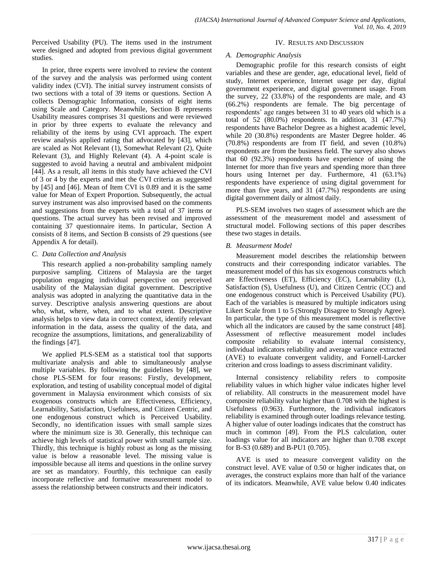Perceived Usability (PU). The items used in the instrument were designed and adopted from previous digital government studies.

In prior, three experts were involved to review the content of the survey and the analysis was performed using content validity index (CVI). The initial survey instrument consists of two sections with a total of 39 items or questions. Section A collects Demographic Information, consists of eight items using Scale and Category. Meanwhile, Section B represents Usability measures comprises 31 questions and were reviewed in prior by three experts to evaluate the relevancy and reliability of the items by using CVI approach. The expert review analysis applied rating that advocated by [43], which are scaled as Not Relevant (1), Somewhat Relevant (2), Quite Relevant (3), and Highly Relevant (4). A 4-point scale is suggested to avoid having a neutral and ambivalent midpoint [44]. As a result, all items in this study have achieved the CVI of 3 or 4 by the experts and met the CVI criteria as suggested by [45] and [46]. Mean of Item CVI is 0.89 and it is the same value for Mean of Expert Proportion. Subsequently, the actual survey instrument was also improvised based on the comments and suggestions from the experts with a total of 37 items or questions. The actual survey has been revised and improved containing 37 questionnaire items. In particular, Section A consists of 8 items, and Section B consists of 29 questions (see Appendix A for detail).

## *C. Data Collection and Analysis*

This research applied a non-probability sampling namely purposive sampling. Citizens of Malaysia are the target population engaging individual perspective on perceived usability of the Malaysian digital government. Descriptive analysis was adopted in analyzing the quantitative data in the survey. Descriptive analysis answering questions are about who, what, where, when, and to what extent. Descriptive analysis helps to view data in correct context, identify relevant information in the data, assess the quality of the data, and recognize the assumptions, limitations, and generalizability of the findings [47].

We applied PLS-SEM as a statistical tool that supports multivariate analysis and able to simultaneously analyse multiple variables. By following the guidelines by [48], we chose PLS-SEM for four reasons: Firstly, development, exploration, and testing of usability conceptual model of digital government in Malaysia environment which consists of six exogenous constructs which are Effectiveness, Efficiency, Learnability, Satisfaction, Usefulness, and Citizen Centric, and one endogenous construct which is Perceived Usability. Secondly, no identification issues with small sample sizes where the minimum size is 30. Generally, this technique can achieve high levels of statistical power with small sample size. Thirdly, this technique is highly robust as long as the missing value is below a reasonable level. The missing value is impossible because all items and questions in the online survey are set as mandatory. Fourthly, this technique can easily incorporate reflective and formative measurement model to assess the relationship between constructs and their indicators.

#### IV. RESULTS AND DISCUSSION

## *A. Demographic Analysis*

Demographic profile for this research consists of eight variables and these are gender, age, educational level, field of study, Internet experience, Internet usage per day, digital government experience, and digital government usage. From the survey, 22 (33.8%) of the respondents are male, and 43 (66.2%) respondents are female. The big percentage of respondents' age ranges between 31 to 40 years old which is a total of 52 (80.0%) respondents. In addition, 31 (47.7%) respondents have Bachelor Degree as a highest academic level, while 20 (30.8%) respondents are Master Degree holder. 46 (70.8%) respondents are from IT field, and seven (10.8%) respondents are from the business field. The survey also shows that 60 (92.3%) respondents have experience of using the Internet for more than five years and spending more than three hours using Internet per day. Furthermore, 41 (63.1%) respondents have experience of using digital government for more than five years, and 31 (47.7%) respondents are using digital government daily or almost daily.

PLS-SEM involves two stages of assessment which are the assessment of the measurement model and assessment of structural model. Following sections of this paper describes these two stages in details.

# *B. Measurment Model*

Measurement model describes the relationship between constructs and their corresponding indicator variables. The measurement model of this has six exogenous constructs which are Effectiveness (ET), Efficiency (EC), Learnability (L), Satisfaction (S), Usefulness (U), and Citizen Centric (CC) and one endogenous construct which is Perceived Usability (PU). Each of the variables is measured by multiple indicators using Likert Scale from 1 to 5 (Strongly Disagree to Strongly Agree). In particular, the type of this measurement model is reflective which all the indicators are caused by the same construct [48]. Assessment of reflective measurement model includes composite reliability to evaluate internal consistency, individual indicators reliability and average variance extracted (AVE) to evaluate convergent validity, and Fornell-Larcker criterion and cross loadings to assess discriminant validity.

Internal consistency reliability refers to composite reliability values in which higher value indicates higher level of reliability. All constructs in the measurement model have composite reliability value higher than 0.708 with the highest is Usefulness (0.963). Furthermore, the individual indicators reliability is examined through outer loadings relevance testing. A higher value of outer loadings indicates that the construct has much in common [49]. From the PLS calculation, outer loadings value for all indicators are higher than 0.708 except for B-S3 (0.689) and B-PU1 (0.705).

AVE is used to measure convergent validity on the construct level. AVE value of 0.50 or higher indicates that, on averages, the construct explains more than half of the variance of its indicators. Meanwhile, AVE value below 0.40 indicates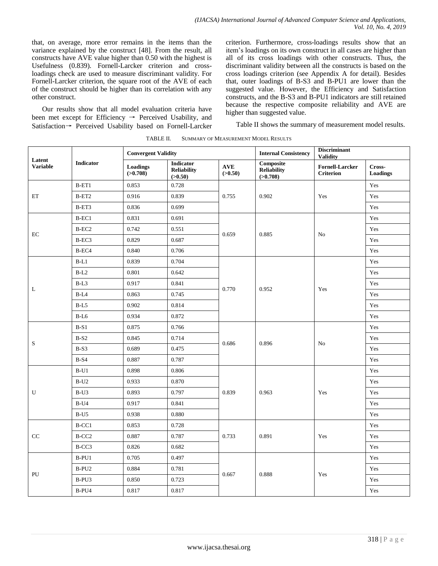that, on average, more error remains in the items than the variance explained by the construct [48]. From the result, all constructs have AVE value higher than 0.50 with the highest is Usefulness (0.839). Fornell-Larcker criterion and crossloadings check are used to measure discriminant validity. For Fornell-Larcker criterion, the square root of the AVE of each of the construct should be higher than its correlation with any other construct.

Our results show that all model evaluation criteria have been met except for Efficiency → Perceived Usability, and Satisfaction→ Perceived Usability based on Fornell-Larcker criterion. Furthermore, cross-loadings results show that an item's loadings on its own construct in all cases are higher than all of its cross loadings with other constructs. Thus, the discriminant validity between all the constructs is based on the cross loadings criterion (see Appendix A for detail). Besides that, outer loadings of B-S3 and B-PU1 are lower than the suggested value. However, the Efficiency and Satisfaction constructs, and the B-S3 and B-PU1 indicators are still retained because the respective composite reliability and AVE are higher than suggested value.

Table II shows the summary of measurement model results.

| Latent<br><b>Variable</b> | Indicator         | <b>Convergent Validity</b> |                                                   |                | <b>Discriminant</b><br><b>Internal Consistency</b><br><b>Validity</b> |                                            |                    |
|---------------------------|-------------------|----------------------------|---------------------------------------------------|----------------|-----------------------------------------------------------------------|--------------------------------------------|--------------------|
|                           |                   | Loadings<br>(>0.708)       | <b>Indicator</b><br><b>Reliability</b><br>(>0.50) | AVE<br>(>0.50) | <b>Composite</b><br><b>Reliability</b><br>(>0.708)                    | <b>Fornell-Larcker</b><br><b>Criterion</b> | Cross-<br>Loadings |
| ET                        | $B-ET1$           | 0.853                      | 0.728                                             |                |                                                                       | Yes                                        | Yes                |
|                           | $B-ET2$           | 0.916                      | 0.839                                             | 0.755          | 0.902                                                                 |                                            | Yes                |
|                           | B-ET3             | 0.836                      | 0.699                                             |                |                                                                       |                                            | Yes                |
|                           | B-EC1             | 0.831                      | 0.691                                             |                |                                                                       |                                            | Yes                |
| $\rm EC$                  | $B-EC2$           | 0.742                      | 0.551                                             | 0.659          | 0.885                                                                 | No                                         | Yes                |
|                           | B-EC3             | 0.829                      | 0.687                                             |                |                                                                       |                                            | Yes                |
|                           | B-EC4             | 0.840                      | 0.706                                             |                |                                                                       |                                            | Yes                |
|                           | $B-L1$            | 0.839                      | 0.704                                             |                |                                                                       |                                            | Yes                |
|                           | $B-L2$            | 0.801                      | 0.642                                             |                |                                                                       |                                            | Yes                |
|                           | $B-L3$            | 0.917                      | 0.841                                             |                | 0.952                                                                 | Yes                                        | Yes                |
| L                         | $B-L4$            | 0.863                      | 0.745                                             | 0.770          |                                                                       |                                            | Yes                |
|                           | $B-L5$            | 0.902                      | 0.814                                             |                |                                                                       |                                            | Yes                |
|                           | $B-L6$            | 0.934                      | 0.872                                             |                |                                                                       |                                            | Yes                |
|                           | $B-S1$            | 0.875                      | 0.766                                             |                | 0.896                                                                 | No                                         | Yes                |
|                           | $B-S2$            | 0.845                      | 0.714                                             |                |                                                                       |                                            | Yes                |
| S                         | $B-S3$            | 0.689                      | 0.475                                             | 0.686          |                                                                       |                                            | Yes                |
|                           | $B-S4$            | 0.887                      | 0.787                                             |                |                                                                       |                                            | Yes                |
|                           | $B-U1$            | 0.898                      | 0.806                                             |                | 0.963                                                                 | Yes                                        | Yes                |
|                           | $B-U2$            | 0.933                      | 0.870                                             |                |                                                                       |                                            | Yes                |
| U                         | $B-U3$            | 0.893                      | 0.797                                             | 0.839          |                                                                       |                                            | Yes                |
|                           | $B-U4$            | 0.917                      | 0.841                                             |                |                                                                       |                                            | Yes                |
|                           | $B-U5$            | 0.938                      | 0.880                                             |                |                                                                       |                                            | Yes                |
|                           | B-CC1             | 0.853                      | 0.728                                             |                | 0.891                                                                 | Yes                                        | Yes                |
| $\rm CC$                  | B-CC <sub>2</sub> | 0.887                      | 0.787                                             | 0.733          |                                                                       |                                            | Yes                |
|                           | B-CC3             | 0.826                      | 0.682                                             |                |                                                                       |                                            | Yes                |
|                           | $B-PU1$           | 0.705                      | 0.497                                             |                |                                                                       | Yes                                        | Yes                |
|                           | B-PU <sub>2</sub> | 0.884                      | 0.781                                             |                |                                                                       |                                            | Yes                |
| PU                        | B-PU3             | 0.850                      | 0.723                                             | 0.667          | 0.888                                                                 |                                            | Yes                |
|                           | B-PU4             | 0.817                      | 0.817                                             |                |                                                                       |                                            | Yes                |

TABLE II. SUMMARY OF MEASUREMENT MODEL RESULTS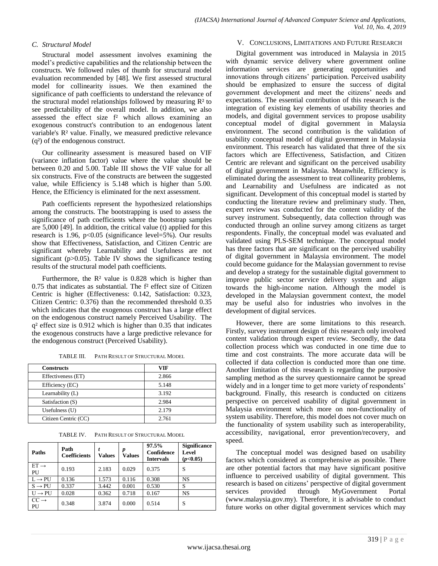## *C. Structural Model*

Structural model assessment involves examining the model's predictive capabilities and the relationship between the constructs. We followed rules of thumb for structural model evaluation recommended by [48]. We first assessed structural model for collinearity issues. We then examined the significance of path coefficients to understand the relevance of the structural model relationships followed by measuring  $\mathbb{R}^2$  to see predictability of the overall model. In addition, we also assessed the effect size f<sup>2</sup> which allows examining an exogenous construct's contribution to an endogenous latent variable's R² value. Finally, we measured predictive relevance (q²) of the endogenous construct.

Our collinearity assessment is measured based on VIF (variance inflation factor) value where the value should be between 0.20 and 5.00. Table III shows the VIF value for all six constructs. Five of the constructs are between the suggested value, while Efficiency is 5.148 which is higher than 5.00. Hence, the Efficiency is eliminated for the next assessment.

Path coefficients represent the hypothesized relationships among the constructs. The bootstrapping is used to assess the significance of path coefficients where the bootstrap samples are 5,000 [49]. In addition, the critical value (t) applied for this research is 1.96, p<0.05 (significance level=5%). Our results show that Effectiveness, Satisfaction, and Citizen Centric are significant whereby Learnability and Usefulness are not significant ( $p > 0.05$ ). Table IV shows the significance testing results of the structural model path coefficients.

Furthermore, the R<sup>2</sup> value is 0.828 which is higher than  $0.75$  that indicates as substantial. The  $f<sup>2</sup>$  effect size of Citizen Centric is higher (Effectiveness: 0.142, Satisfaction: 0.323, Citizen Centric: 0.376) than the recommended threshold 0.35 which indicates that the exogenous construct has a large effect on the endogenous construct namely Perceived Usability. The q² effect size is 0.912 which is higher than 0.35 that indicates the exogenous constructs have a large predictive relevance for the endogenous construct (Perceived Usability).

| <b>Constructs</b>    | VIF   |
|----------------------|-------|
| Effectiveness (ET)   | 2.866 |
| Efficiency (EC)      | 5.148 |
| Learnability (L)     | 3.192 |
| Satisfaction (S)     | 2.984 |
| Usefulness $(U)$     | 2.179 |
| Citizen Centric (CC) | 2.761 |

TABLE III. PATH RESULT OF STRUCTURAL MODEL

TABLE IV. PATH RESULT OF STRUCTURAL MODEL

| Paths                  | Path<br><b>Coefficients</b> | <b>Values</b> | p<br>Values | 97.5%<br>Confidence<br><b>Intervals</b> | <b>Significance</b><br>Level<br>(p<0.05) |
|------------------------|-----------------------------|---------------|-------------|-----------------------------------------|------------------------------------------|
| $ET \rightarrow$<br>PU | 0.193                       | 2.183         | 0.029       | 0.375                                   | S                                        |
| $L \rightarrow PU$     | 0.136                       | 1.573         | 0.116       | 0.308                                   | NS                                       |
| $S \rightarrow PU$     | 0.337                       | 3.442         | 0.001       | 0.530                                   | S                                        |
| $U \rightarrow PU$     | 0.028                       | 0.362         | 0.718       | 0.167                                   | NS                                       |
| $CC \rightarrow$<br>PU | 0.348                       | 3.874         | 0.000       | 0.514                                   | S                                        |

## V. CONCLUSIONS, LIMITATIONS AND FUTURE RESEARCH

Digital government was introduced in Malaysia in 2015 with dynamic service delivery where government online information services are generating opportunities and innovations through citizens' participation. Perceived usability should be emphasized to ensure the success of digital government development and meet the citizens' needs and expectations. The essential contribution of this research is the integration of existing key elements of usability theories and models, and digital government services to propose usability conceptual model of digital government in Malaysia environment. The second contribution is the validation of usability conceptual model of digital government in Malaysia environment. This research has validated that three of the six factors which are Effectiveness, Satisfaction, and Citizen Centric are relevant and significant on the perceived usability of digital government in Malaysia. Meanwhile, Efficiency is eliminated during the assessment to treat collinearity problems, and Learnability and Usefulness are indicated as not significant. Development of this conceptual model is started by conducting the literature review and preliminary study. Then, expert review was conducted for the content validity of the survey instrument. Subsequently, data collection through was conducted through an online survey among citizens as target respondents. Finally, the conceptual model was evaluated and validated using PLS-SEM technique. The conceptual model has three factors that are significant on the perceived usability of digital government in Malaysia environment. The model could become guidance for the Malaysian government to revise and develop a strategy for the sustainable digital government to improve public sector service delivery system and align towards the high-income nation. Although the model is developed in the Malaysian government context, the model may be useful also for industries who involves in the development of digital services.

However, there are some limitations to this research. Firstly, survey instrument design of this research only involved content validation through expert review. Secondly, the data collection process which was conducted in one time due to time and cost constraints. The more accurate data will be collected if data collection is conducted more than one time. Another limitation of this research is regarding the purposive sampling method as the survey questionnaire cannot be spread widely and in a longer time to get more variety of respondents' background. Finally, this research is conducted on citizens perspective on perceived usability of digital government in Malaysia environment which more on non-functionality of system usability. Therefore, this model does not cover much on the functionality of system usability such as interoperability, accessibility, navigational, error prevention/recovery, and speed.

The conceptual model was designed based on usability factors which considered as comprehensive as possible. There are other potential factors that may have significant positive influence to perceived usability of digital government. This research is based on citizens' perspective of digital government<br>services provided through MyGovernment Portal services provided through MyGovernment Portal (www.malaysia.gov.my). Therefore, it is advisable to conduct future works on other digital government services which may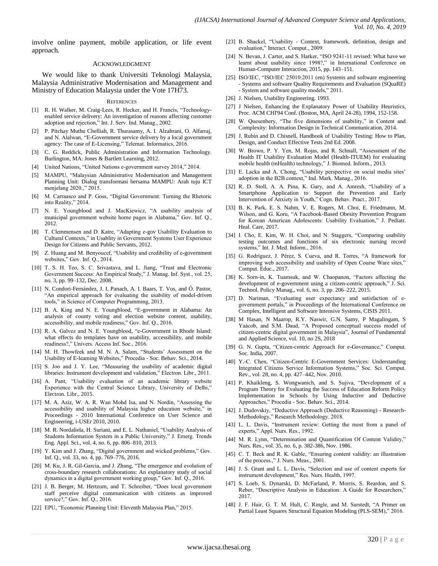involve online payment, mobile application, or life event approach.

#### ACKNOWLEDGMENT

We would like to thank Universiti Teknologi Malaysia, Malaysia Administrative Modernisation and Management and Ministry of Education Malaysia under the Vote 17H73.

#### **REFERENCES**

- [1] R. H. Walker, M. Craig-Lees, R. Hecker, and H. Francis, "Technologyenabled service delivery: An investigation of reasons affecting customer adoption and rejection," Int. J. Serv. Ind. Manag., 2002.
- [2] P. Pitchay Muthu Chelliah, R. Thurasamy, A. I. Alzahrani, O. Alfarraj, and N. Alalwan, "E-Government service delivery by a local government agency: The case of E-Licensing," Telemat. Informatics, 2016.
- [3] C. G. Reddick, Public Administration and Information Technology. Burlington, MA: Jones & Bartlett Learning, 2012.
- [4] United Nations, "United Nations e-government survey 2014," 2014.
- [5] MAMPU, "Malaysian Administrative Modernisation and Management Planning Unit: Dialog transformasi bersama MAMPU: Arah tuju ICT menjelang 2020.," 2015.
- [6] M. Carraasco and P. Goss, "Digital Government: Turning the Rhetoric into Reality," 2014.
- [7] N. E. Youngblood and J. MacKiewicz, "A usability analysis of municipal government website home pages in Alabama," Gov. Inf. Q., 2012.
- [8] T. Clemmensen and D. Katre, "Adapting e-gov Usability Evaluation to Cultural Contexts," in Usablity in Government Systems User Experience Design for Citizens and Public Servants, 2012.
- [9] Z. Huang and M. Benyoucef, "Usability and credibility of e-government websites," Gov. Inf. Q., 2014.
- [10] T. S. H. Teo, S. C. Srivastava, and L. Jiang, "Trust and Electronic Government Success: An Empirical Study," J. Manag. Inf. Syst., vol. 25, no. 3, pp. 99–132, Dec. 2008.
- [11] N. Condori-Fernández, J. I. Panach, A. I. Baars, T. Vos, and Ó. Pastor, "An empirical approach for evaluating the usability of model-driven tools," in Science of Computer Programming, 2013.
- [12] B. A. King and N. E. Youngblood, "E-government in Alabama: An analysis of county voting and election website content, usability, accessibility, and mobile readiness," Gov. Inf. Q., 2016.
- [13] R. A. Galvez and N. E. Youngblood, "e-Government in Rhode Island: what effects do templates have on usability, accessibility, and mobile readiness?," Univers. Access Inf. Soc., 2016.
- [14] M. H. Thowfeek and M. N. A. Salam, "Students' Assessment on the Usability of E-leaming Websites," Procedia - Soc. Behav. Sci., 2014.
- [15] S. Joo and J. Y. Lee, "Measuring the usability of academic digital libraries: Instrument development and validation," Electron. Libr., 2011.
- [16] A. Pant, "Usability evaluation of an academic library website Experience with the Central Science Library, University of Delhi," Electron. Libr., 2015.
- [17] M. A. Aziz, W. A. R. Wan Mohd Isa, and N. Nordin, "Assessing the accessibility and usability of Malaysia higher education website," in Proceedings - 2010 International Conference on User Science and Engineering, i-USEr 2010, 2010.
- [18] M. R. Nordaliela, H. Suriani, and E. L. Nathaniel, "Usability Analysis of Students Information System in a Public University," J. Emerg. Trends Eng. Appl. Sci., vol. 4, no. 6, pp. 806–810, 2013.
- [19] Y. Kim and J. Zhang, "Digital government and wicked problems," Gov. Inf. Q., vol. 33, no. 4, pp. 769–776, 2016.
- [20] M. Ku, J. R. Gil-Garcia, and J. Zhang, "The emergence and evolution of cross-boundary research collaborations: An explanatory study of social dynamics in a digital government working group," Gov. Inf. Q., 2016.
- [21] J. B. Berger, M. Hertzum, and T. Schreiber, "Does local government staff perceive digital communication with citizens as improved service?," Gov. Inf. Q., 2016.
- [22] EPU, "Economic Planning Unit: Eleventh Malaysia Plan," 2015.
- [23] B. Shackel, "Usability Context, framework, definition, design and evaluation," Interact. Comput., 2009.
- [24] N. Bevan, J. Carter, and S. Harker, "ISO 9241-11 revised: What have we learnt about usability since 1998?," in International Conference on Human-Computer Interaction, 2015, pp. 143–151.
- [25] ISO/IEC, "ISO/IEC 25010:2011 (en) Systems and software engineering - Systems and software Quality Requirements and Evaluation (SQuaRE) - System and software quality models," 2011.
- [26] J. Nielsen, Usability Engineering. 1993.
- [27] J Nielsen, Enhancing the Explanatory Power of Usability Heuristics, Proc. ACM CHI'94 Conf. (Boston, MA, April 24-28), 1994, 152-158.
- [28] W. Quesenbery, "The five dimensions of usability," in Content and Complexity: Information Design in Technical Communication, 2014.
- [29] J. Rubin and D. Chisnell, Handbook of Usability Testing: How to Plan, Design, and Conduct Effective Tests 2nd Ed. 2008.
- [30] W. Brown, P. Y. Yen, M. Rojas, and R. Schnall, "Assessment of the Health IT Usability Evaluation Model (Health-ITUEM) for evaluating mobile health (mHealth) technology," J. Biomed. Inform., 2013.
- [31] E. Lacka and A. Chong, "Usability perspective on social media sites' adoption in the B2B context," Ind. Mark. Manag., 2016.
- [32] R. D. Stoll, A. A. Pina, K. Gary, and A. Amresh, "Usability of a Smartphone Application to Support the Prevention and Early Intervention of Anxiety in Youth," Cogn. Behav. Pract., 2017.
- [33] B. K. Park, E. S. Nahm, V. E. Rogers, M. Choi, E. Friedmann, M. Wilson, and G. Koru, "A Facebook-Based Obesity Prevention Program for Korean American Adolescents: Usability Evaluation," J. Pediatr. Heal. Care, 2017.
- [34] I. Cho, E. Kim, W. H. Choi, and N. Staggers, "Comparing usability testing outcomes and functions of six electronic nursing record systems," Int. J. Med. Inform., 2016.
- [35] G. Rodríguez, J. Pérez, S. Cueva, and R. Torres, "A framework for improving web accessibility and usability of Open Course Ware sites," Comput. Educ., 2017.
- [36] K. Sorn-in, K. Tuamsuk, and W. Chaopanon, "Factors affecting the development of e-government using a citizen-centric approach," J. Sci. Technol. Policy Manag., vol. 6, no. 3, pp. 206–222, 2015.
- [37] D. Nariman, "Evaluating user expectancy and satisfaction of egovernment portals," in Proceedings of the International Conference on Complex, Intelligent and Software Intensive Systems, CISIS 2011.
- [38] M Hasan, N Maarop, R.Y. Naswir, G.N. Samy, P Magalingam, S Yaácob, and S.M. Daud, "A Proposed conceptual success model of citizen-centric digital government in Malaysia", Journal of Fundamental and Applied Science, vol. 10, no 2S, 2018
- [39] G. N. Gupta, "Citizen-centric Approach for e-Governance," Comput. Soc. India, 2007.
- [40] Y.-C. Chen, "Citizen-Centric E-Government Services: Understanding Integrated Citizens Service Information Systems," Soc. Sci. Comput. Rev., vol. 28, no. 4, pp. 427–442, Nov. 2010.
- [41] P. Khaikleng, S. Wongwanich, and S. Sujiva, "Development of a Program Theory for Evaluating the Success of Education Reform Policy Implementation in Schools by Using Inductive and Deductive Approaches," Procedia - Soc. Behav. Sci., 2014.
- [42] J. Dudovskiy, "Deductive Approach (Deductive Reasoning) Research-Methodology," Research Methodology. 2018.
- [43] L. L. Davis, "Instrument review: Getting the most from a panel of experts," Appl. Nurs. Res., 1992.
- [44] M. R. Lynn, "Determination and Quantification Of Content Validity," Nurs. Res., vol. 35, no. 6, p. 382-386, Nov. 1986.
- [45] C. T. Beck and R. K. Gable, "Ensuring content validity: an illustration of the process.," J. Nurs. Meas., 2001.
- [46] J. S. Grant and L. L. Davis, "Selection and use of content experts for instrument development," Res. Nurs. Health, 1997.
- [47] S. Loeb, S. Dynarski, D. McFarland, P. Morris, S. Reardon, and S. Reber, "Descriptive Analysis in Education: A Guide for Researchers," 2017.
- [48] J. F. Hair, G. T. M. Hult, C. Ringle, and M. Sarstedt, "A Primer on Partial Least Squares Structural Equation Modeling (PLS-SEM)," 2016.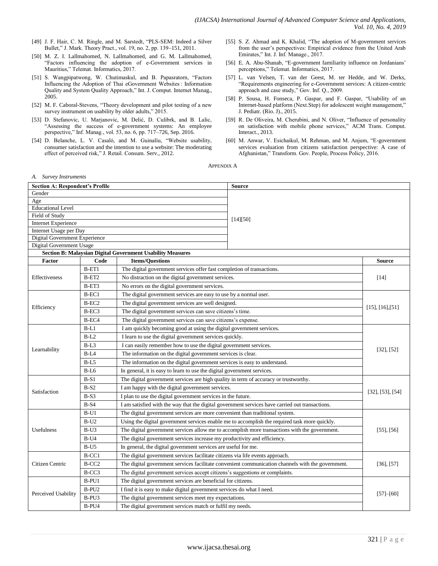- [49] J. F. Hair, C. M. Ringle, and M. Sarstedt, "PLS-SEM: Indeed a Silver Bullet," J. Mark. Theory Pract., vol. 19, no. 2, pp. 139–151, 2011.
- [50] M. Z. I. Lallmahomed, N. Lallmahomed, and G. M. Lallmahomed, "Factors influencing the adoption of e-Government services in Mauritius," Telemat. Informatics, 2017.
- [51] S. Wangpipatwong, W. Chutimaskul, and B. Papasratorn, "Factors Influencing the Adoption of Thai eGovernment Websites : Information Quality and System Quality Approach," Int. J. Comput. Internet Manag., 2005.
- [52] M. F. Caboral-Stevens, "Theory development and pilot testing of a new survey instrument on usability by older adults," 2015.
- [53] D. Stefanovic, U. Marjanovic, M. Delić, D. Culibrk, and B. Lalic, "Assessing the success of e-government systems: An employee perspective," Inf. Manag., vol. 53, no. 6, pp. 717–726, Sep. 2016.
- [54] D. Belanche, L. V. Casaló, and M. Guinalíu, "Website usability, consumer satisfaction and the intention to use a website: The moderating effect of perceived risk," J. Retail. Consum. Serv., 2012.
- [55] S. Z. Ahmad and K. Khalid, "The adoption of M-government services from the user's perspectives: Empirical evidence from the United Arab Emirates," Int. J. Inf. Manage., 2017.
- [56] E. A. Abu-Shanab, "E-government familiarity influence on Jordanians' perceptions," Telemat. Informatics, 2017.
- [57] L. van Velsen, T. van der Geest, M. ter Hedde, and W. Derks, "Requirements engineering for e-Government services: A citizen-centric approach and case study," Gov. Inf. Q., 2009.
- [58] P. Sousa, H. Fonseca, P. Gaspar, and F. Gaspar, "Usability of an Internet-based platform (Next.Step) for adolescent weight management," J. Pediatr. (Rio. J)., 2015.
- [59] R. De Oliveira, M. Cherubini, and N. Oliver, "Influence of personality on satisfaction with mobile phone services," ACM Trans. Comput. Interact., 2013.
- [60] M. Anwar, V. Esichaikul, M. Rehman, and M. Anjum, "E-government services evaluation from citizens satisfaction perspective: A case of Afghanistan," Transform. Gov. People, Process Policy, 2016.

APPENDIX A

| A. Survey Instruments                                     |                   |                                                                                                                      |                          |                 |  |  |
|-----------------------------------------------------------|-------------------|----------------------------------------------------------------------------------------------------------------------|--------------------------|-----------------|--|--|
| <b>Section A: Respondent's Profile</b>                    |                   |                                                                                                                      | <b>Source</b>            |                 |  |  |
| Gender                                                    |                   |                                                                                                                      |                          |                 |  |  |
| Age                                                       |                   |                                                                                                                      |                          |                 |  |  |
| <b>Educational Level</b>                                  |                   |                                                                                                                      |                          |                 |  |  |
| Field of Study                                            |                   |                                                                                                                      | [14][50]                 |                 |  |  |
| <b>Internet Experience</b>                                |                   |                                                                                                                      |                          |                 |  |  |
| Internet Usage per Day                                    |                   |                                                                                                                      |                          |                 |  |  |
| Digital Government Experience<br>Digital Government Usage |                   |                                                                                                                      |                          |                 |  |  |
|                                                           |                   | <b>Section B: Malaysian Digital Government Usability Measures</b>                                                    |                          |                 |  |  |
| Factor                                                    | Code              | <b>Items/Questions</b>                                                                                               |                          | <b>Source</b>   |  |  |
|                                                           | $B-ET1$           | The digital government services offer fast completion of transactions.                                               |                          |                 |  |  |
| Effectiveness                                             | $B-ET2$           | No distraction on the digital government services.                                                                   |                          | [14]            |  |  |
|                                                           | B-ET3             | No errors on the digital government services.                                                                        |                          |                 |  |  |
|                                                           | $B-EC1$           | The digital government services are easy to use by a normal user.                                                    |                          |                 |  |  |
|                                                           | $B-EC2$           | The digital government services are well designed.                                                                   |                          |                 |  |  |
| Efficiency                                                | B-EC3             | The digital government services can save citizens's time.                                                            | $[15]$ , $[16]$ , $[51]$ |                 |  |  |
|                                                           | B-EC4             | The digital government services can save citizens's expense.                                                         |                          |                 |  |  |
|                                                           | $B-L1$            | I am quickly becoming good at using the digital government services.                                                 |                          |                 |  |  |
|                                                           | $B-L2$            | I learn to use the digital government services quickly.                                                              |                          |                 |  |  |
|                                                           | $B-L3$            | I can easily remember how to use the digital government services.                                                    |                          |                 |  |  |
| Learnability                                              | B-L4              | The information on the digital government services is clear.                                                         |                          | $[32]$ , $[52]$ |  |  |
|                                                           | $B-L5$            | The information on the digital government services is easy to understand.                                            |                          |                 |  |  |
|                                                           | $B-L6$            | In general, it is easy to learn to use the digital government services.                                              |                          |                 |  |  |
|                                                           | $B-S1$            | The digital government services are high quality in term of accuracy or trustworthy.                                 | [32], [53], [54]         |                 |  |  |
| Satisfaction                                              | $B-S2$            | I am happy with the digital government services.                                                                     |                          |                 |  |  |
|                                                           | $B-S3$            | I plan to use the digital government services in the future.                                                         |                          |                 |  |  |
|                                                           | $B-S4$            | I am satisfied with the way that the digital government services have carried out transactions.                      |                          |                 |  |  |
|                                                           | $B-U1$            | The digital government services are more convenient than traditional system.                                         |                          |                 |  |  |
|                                                           | $B-U2$            | Using the digital government services enable me to accomplish the required task more quickly.                        | $[55]$ , [56]            |                 |  |  |
| Usefulness                                                | $B-U3$            | The digital government services allow me to accomplish more transactions with the government.                        |                          |                 |  |  |
|                                                           | $B-U4$            | The digital government services increase my productivity and efficiency.                                             |                          |                 |  |  |
|                                                           | $B-U5$            | In general, the digital government services are useful for me.                                                       |                          |                 |  |  |
| Citizen Centric                                           | B-CC1             | The digital government services facilitate citizens via life events approach.                                        |                          |                 |  |  |
|                                                           | B-CC <sub>2</sub> | The digital government services facilitate convenient communication channels with the government.<br>$[36]$ , $[57]$ |                          |                 |  |  |
|                                                           | B-CC3             | The digital government services accept citizens's suggestions or complaints.                                         |                          |                 |  |  |
|                                                           | B-PU1             | The digital government services are beneficial for citizens.                                                         |                          |                 |  |  |
| Perceived Usability                                       | B-PU <sub>2</sub> | I find it is easy to make digital government services do what I need.                                                | $[57]-[60]$              |                 |  |  |
|                                                           | B-PU3             | The digital government services meet my expectations.                                                                |                          |                 |  |  |
|                                                           | B-PU4             | The digital government services match or fulfil my needs.                                                            |                          |                 |  |  |

#### www.ijacsa.thesai.org